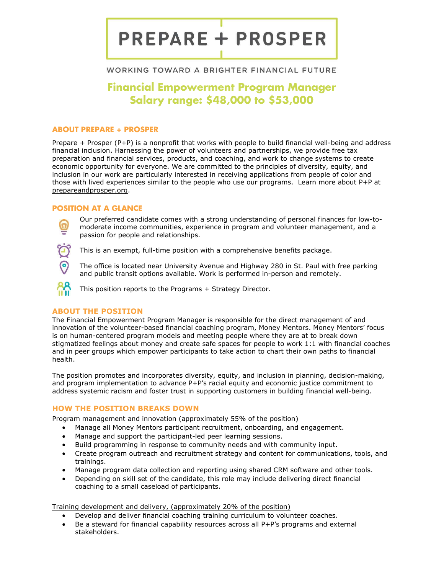# **PREPARE + PROSPER**

# WORKING TOWARD A BRIGHTER FINANCIAL FUTURE

# Financial Empowerment Program Manager Salary range: \$48,000 to \$53,000

### ABOUT PREPARE + PROSPER

Prepare + Prosper (P+P) is a nonprofit that works with people to build financial well-being and address financial inclusion. Harnessing the power of volunteers and partnerships, we provide free tax preparation and financial services, products, and coaching, and work to change systems to create economic opportunity for everyone. We are committed to the principles of diversity, equity, and inclusion in our work are particularly interested in receiving applications from people of color and those with lived experiences similar to the people who use our programs. Learn more about P+P at prepareandprosper.org.

#### POSITION AT A GLANCE

Our preferred candidate comes with a strong understanding of personal finances for low-tomoderate income communities, experience in program and volunteer management, and a passion for people and relationships.



This is an exempt, full-time position with a comprehensive benefits package.

The office is located near University Avenue and Highway 280 in St. Paul with free parking and public transit options available. Work is performed in-person and remotely.

This position reports to the Programs + Strategy Director.

# ABOUT THE POSITION

The Financial Empowerment Program Manager is responsible for the direct management of and innovation of the volunteer-based financial coaching program, Money Mentors. Money Mentors' focus is on human-centered program models and meeting people where they are at to break down stigmatized feelings about money and create safe spaces for people to work 1:1 with financial coaches and in peer groups which empower participants to take action to chart their own paths to financial health.

The position promotes and incorporates diversity, equity, and inclusion in planning, decision-making, and program implementation to advance P+P's racial equity and economic justice commitment to address systemic racism and foster trust in supporting customers in building financial well-being.

# HOW THE POSITION BREAKS DOWN

Program management and innovation (approximately 55% of the position)

- Manage all Money Mentors participant recruitment, onboarding, and engagement.
- Manage and support the participant-led peer learning sessions.
- Build programming in response to community needs and with community input.
- Create program outreach and recruitment strategy and content for communications, tools, and trainings.
- Manage program data collection and reporting using shared CRM software and other tools.
- Depending on skill set of the candidate, this role may include delivering direct financial coaching to a small caseload of participants.

Training development and delivery, (approximately 20% of the position)

- Develop and deliver financial coaching training curriculum to volunteer coaches.
- Be a steward for financial capability resources across all P+P's programs and external stakeholders.